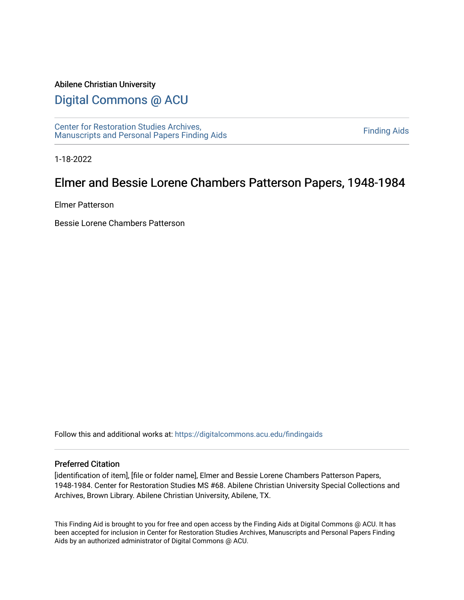#### Abilene Christian University

# [Digital Commons @ ACU](https://digitalcommons.acu.edu/)

[Center for Restoration Studies Archives,](https://digitalcommons.acu.edu/findingaids)  [Manuscripts and Personal Papers Finding Aids](https://digitalcommons.acu.edu/findingaids) [Finding Aids](https://digitalcommons.acu.edu/crs_finding_aids) 

1-18-2022

# Elmer and Bessie Lorene Chambers Patterson Papers, 1948-1984

Elmer Patterson

Bessie Lorene Chambers Patterson

Follow this and additional works at: [https://digitalcommons.acu.edu/findingaids](https://digitalcommons.acu.edu/findingaids?utm_source=digitalcommons.acu.edu%2Ffindingaids%2F367&utm_medium=PDF&utm_campaign=PDFCoverPages)

#### Preferred Citation

[identification of item], [file or folder name], Elmer and Bessie Lorene Chambers Patterson Papers, 1948-1984. Center for Restoration Studies MS #68. Abilene Christian University Special Collections and Archives, Brown Library. Abilene Christian University, Abilene, TX.

This Finding Aid is brought to you for free and open access by the Finding Aids at Digital Commons @ ACU. It has been accepted for inclusion in Center for Restoration Studies Archives, Manuscripts and Personal Papers Finding Aids by an authorized administrator of Digital Commons @ ACU.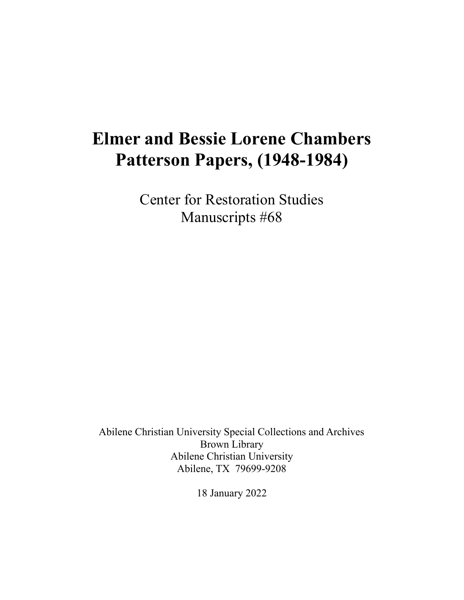# **Elmer and Bessie Lorene Chambers Patterson Papers, (1948-1984)**

Center for Restoration Studies Manuscripts #68

Abilene Christian University Special Collections and Archives Brown Library Abilene Christian University Abilene, TX 79699-9208

18 January 2022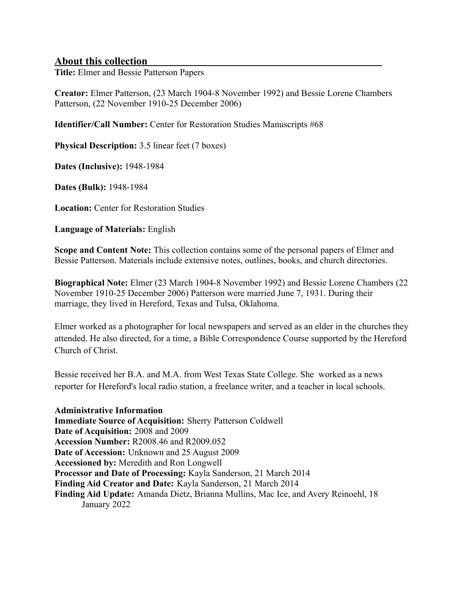## **About this collection**

**Title:** Elmer and Bessie Patterson Papers

**Creator:** Elmer Patterson, (23 March 1904-8 November 1992) and Bessie Lorene Chambers Patterson, (22 November 1910-25 December 2006)

**Identifier/Call Number:** Center for Restoration Studies Manuscripts #68

**Physical Description:** 3.5 linear feet (7 boxes)

**Dates (Inclusive):** 1948-1984

**Dates (Bulk):** 1948-1984

**Location:** Center for Restoration Studies

**Language of Materials:** English

**Scope and Content Note:** This collection contains some of the personal papers of Elmer and Bessie Patterson. Materials include extensive notes, outlines, books, and church directories.

**Biographical Note:** Elmer (23 March 1904-8 November 1992) and Bessie Lorene Chambers (22 November 1910-25 December 2006) Patterson were married June 7, 1931. During their marriage, they lived in Hereford, Texas and Tulsa, Oklahoma.

Elmer worked as a photographer for local newspapers and served as an elder in the churches they attended. He also directed, for a time, a Bible Correspondence Course supported by the Hereford Church of Christ.

Bessie received her B.A. and M.A. from West Texas State College. She worked as a news reporter for Hereford's local radio station, a freelance writer, and a teacher in local schools.

**Administrative Information Immediate Source of Acquisition:** Sherry Patterson Coldwell **Date of Acquisition:** 2008 and 2009 **Accession Number:** R2008.46 and R2009.052 **Date of Accession:** Unknown and 25 August 2009 **Accessioned by:** Meredith and Ron Longwell **Processor and Date of Processing:** Kayla Sanderson, 21 March 2014 **Finding Aid Creator and Date:** Kayla Sanderson, 21 March 2014 **Finding Aid Update:** Amanda Dietz, Brianna Mullins, Mac Ice, and Avery Reinoehl, 18 January 2022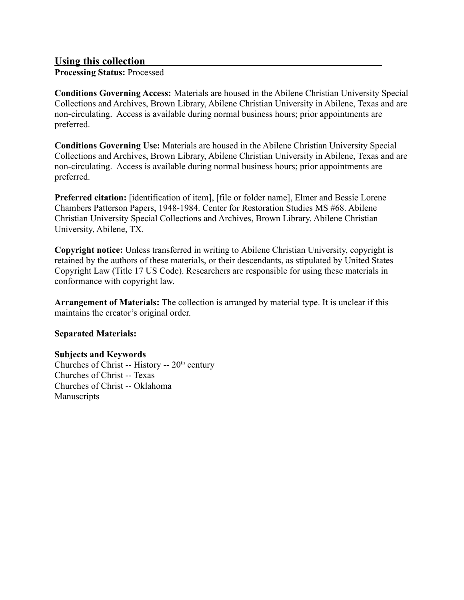## **Using this collection**

**Processing Status:** Processed

**Conditions Governing Access:** Materials are housed in the Abilene Christian University Special Collections and Archives, Brown Library, Abilene Christian University in Abilene, Texas and are non-circulating. Access is available during normal business hours; prior appointments are preferred.

**Conditions Governing Use:** Materials are housed in the Abilene Christian University Special Collections and Archives, Brown Library, Abilene Christian University in Abilene, Texas and are non-circulating. Access is available during normal business hours; prior appointments are preferred.

**Preferred citation:** [identification of item], [file or folder name], Elmer and Bessie Lorene Chambers Patterson Papers, 1948-1984. Center for Restoration Studies MS #68. Abilene Christian University Special Collections and Archives, Brown Library. Abilene Christian University, Abilene, TX.

**Copyright notice:** Unless transferred in writing to Abilene Christian University, copyright is retained by the authors of these materials, or their descendants, as stipulated by United States Copyright Law (Title 17 US Code). Researchers are responsible for using these materials in conformance with copyright law.

**Arrangement of Materials:** The collection is arranged by material type. It is unclear if this maintains the creator's original order.

#### **Separated Materials:**

#### **Subjects and Keywords**

Churches of Christ -- History --  $20<sup>th</sup>$  century Churches of Christ -- Texas Churches of Christ -- Oklahoma Manuscripts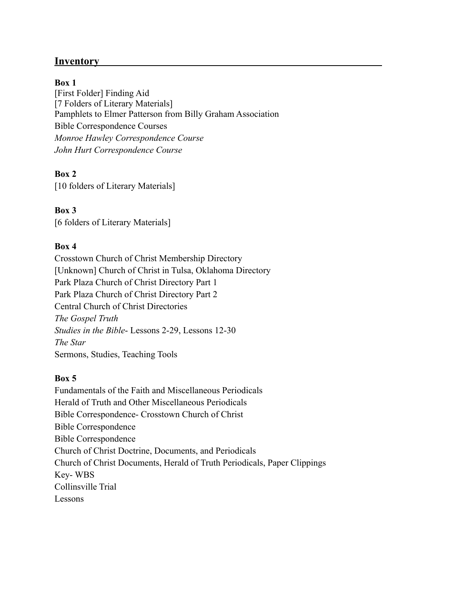# **Inventory**

#### **Box 1**

[First Folder] Finding Aid [7 Folders of Literary Materials] Pamphlets to Elmer Patterson from Billy Graham Association Bible Correspondence Courses *Monroe Hawley Correspondence Course John Hurt Correspondence Course*

### **Box 2**

[10 folders of Literary Materials]

**Box 3** [6 folders of Literary Materials]

#### **Box 4**

Crosstown Church of Christ Membership Directory [Unknown] Church of Christ in Tulsa, Oklahoma Directory Park Plaza Church of Christ Directory Part 1 Park Plaza Church of Christ Directory Part 2 Central Church of Christ Directories *The Gospel Truth Studies in the Bible*- Lessons 2-29, Lessons 12-30 *The Star* Sermons, Studies, Teaching Tools

#### **Box 5**

Fundamentals of the Faith and Miscellaneous Periodicals Herald of Truth and Other Miscellaneous Periodicals Bible Correspondence- Crosstown Church of Christ Bible Correspondence Bible Correspondence Church of Christ Doctrine, Documents, and Periodicals Church of Christ Documents, Herald of Truth Periodicals, Paper Clippings Key- WBS Collinsville Trial Lessons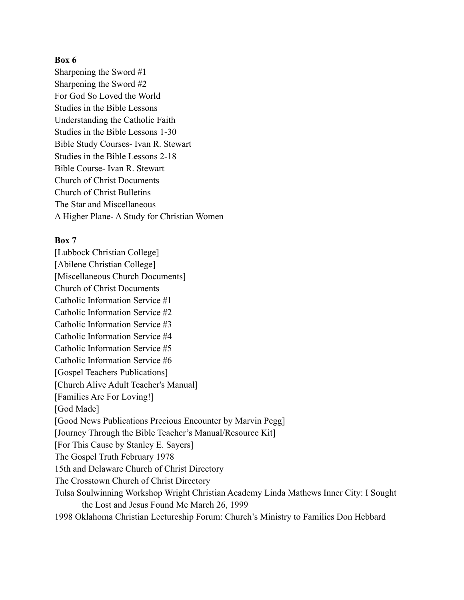#### **Box 6**

Sharpening the Sword #1 Sharpening the Sword #2 For God So Loved the World Studies in the Bible Lessons Understanding the Catholic Faith Studies in the Bible Lessons 1-30 Bible Study Courses- Ivan R. Stewart Studies in the Bible Lessons 2-18 Bible Course- Ivan R. Stewart Church of Christ Documents Church of Christ Bulletins The Star and Miscellaneous A Higher Plane- A Study for Christian Women

#### **Box 7**

[Lubbock Christian College] [Abilene Christian College] [Miscellaneous Church Documents] Church of Christ Documents Catholic Information Service #1 Catholic Information Service #2 Catholic Information Service #3 Catholic Information Service #4 Catholic Information Service #5 Catholic Information Service #6 [Gospel Teachers Publications] [Church Alive Adult Teacher's Manual] [Families Are For Loving!] [God Made] [Good News Publications Precious Encounter by Marvin Pegg] [Journey Through the Bible Teacher's Manual/Resource Kit] [For This Cause by Stanley E. Sayers] The Gospel Truth February 1978 15th and Delaware Church of Christ Directory The Crosstown Church of Christ Directory Tulsa Soulwinning Workshop Wright Christian Academy Linda Mathews Inner City: I Sought the Lost and Jesus Found Me March 26, 1999 1998 Oklahoma Christian Lectureship Forum: Church's Ministry to Families Don Hebbard